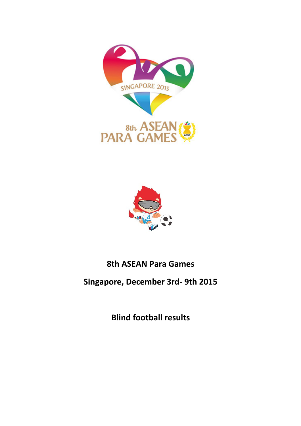



# 8th ASEAN Para Games

# Singapore, December 3rd- 9th 2015

Blind football results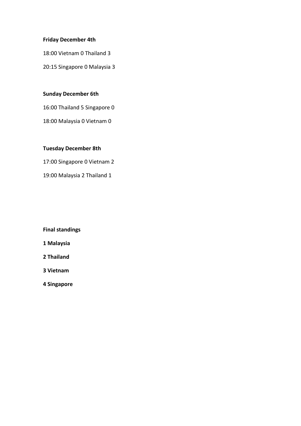# Friday December 4th

18:00 Vietnam 0 Thailand 3

20:15 Singapore 0 Malaysia 3

# Sunday December 6th

16:00 Thailand 5 Singapore 0

18:00 Malaysia 0 Vietnam 0

# Tuesday December 8th

17:00 Singapore 0 Vietnam 2

19:00 Malaysia 2 Thailand 1

# Final standings

- 1 Malaysia
- 2 Thailand
- 3 Vietnam
- 4 Singapore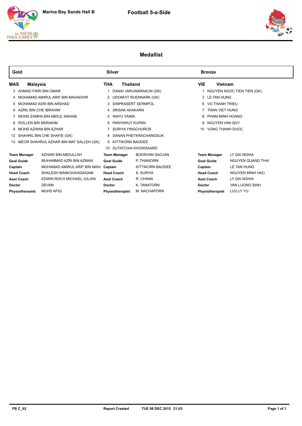





# **Medallist**

| Gold          |                         |                                           | <b>Silver</b>           |                     |                         |                    | <b>Bronze</b>       |                              |
|---------------|-------------------------|-------------------------------------------|-------------------------|---------------------|-------------------------|--------------------|---------------------|------------------------------|
| MAS           | Malaysia                |                                           | THA                     | <b>Thailand</b>     |                         | <b>VIE</b>         | Vietnam             |                              |
|               | 3 AHMAD FIKRI BIN OMAR  |                                           |                         |                     | DANAI JARUWARAKUN (GK)  |                    |                     | 1 NGUYEN NGOC TIEN TIEN (GK) |
|               |                         | 4 MOHAMAD AMIRUL ARIF BIN MAHADHIR        |                         |                     | 2 UDOMVIT RUENNARK (GK) |                    | 3 LE TAN HUNG       |                              |
|               |                         | 5 MOHAMAD ASRI BIN ARSHAD                 |                         |                     | 3 SINPRASERT SERMPOL    |                    | 6 VO THANH TRIEU    |                              |
|               | 6 AZRIL BIN CHE IBRAHIM |                                           |                         | 4 SRISAK AKAKARN    |                         |                    | 7 TRAN VIET HUNG    |                              |
|               |                         | MOHD ZAMHA BIN ABDUL WAHAB                |                         | 5 WAYU YAIMA        |                         |                    | 8 PHAM MINH HOANG   |                              |
|               | 8 ROLLEN BIN MARAKIM    |                                           | 6 PANYAWUT KUPAN        |                     |                         | 9 NGUYEN VAN QUY   |                     |                              |
|               |                         | 9 MOHD AZWAN BIN AZHAR                    | 7 SURIYA YINGCHUROS     |                     |                         | 10 VONG THANH DUOC |                     |                              |
|               |                         | 12 SHAHRIL BIN CHE SHAFIE (GK)            | 8 SANAN PHETKRACHANGSUK |                     |                         |                    |                     |                              |
|               |                         | 13 MEOR SHAHRUL AZHAR BIN MAT SALLEH (GK) | 9 KITTIKORN BAODEE      |                     |                         |                    |                     |                              |
|               |                         |                                           | 10 SUTATCHAI KHOWSAARD  |                     |                         |                    |                     |                              |
|               | <b>Team Manager</b>     | AZHARI BIN ABDULLAH                       |                         | <b>Team Manager</b> | <b>BOONYAN SAOJAN</b>   |                    | <b>Team Manager</b> | LY DAI NGHIA                 |
|               | <b>Goal Guide</b>       | MUHAMMAD AZRI BIN AZMAN                   |                         | <b>Goal Guide</b>   | P. THAWORN              |                    | <b>Goal Guide</b>   | <b>NGUYEN QUANG THAI</b>     |
| Captain       |                         | MOHAMAD AMIRUL ARIF BIN MAH               | Captain                 |                     | KITTIKORN BAODEE        | Captain            |                     | LE TAN HUNG                  |
|               | <b>Head Coach</b>       | SHALESH MANICKAVASAGAM                    |                         | <b>Head Coach</b>   | S. SURIYA               |                    | <b>Head Coach</b>   | <b>NGUYEN MINH HAO</b>       |
|               | <b>Asst Coach</b>       | EDWIN ROCH MICHAEL JULIAN                 |                         | <b>Asst Coach</b>   | R. CHANA                |                    | <b>Asst Coach</b>   | LY DAI NGHIA                 |
| <b>Doctor</b> |                         | <b>DEVAN</b>                              | <b>Doctor</b>           |                     | K. TANATORN             | <b>Doctor</b>      |                     | <b>VAN LUONG SINH</b>        |
|               | Physiotheraoist         | <b>MUHD AFIQ</b>                          |                         | Physiotherapist     | M. NACHAPORN            |                    | Physiotherapist     | LUU LY YU                    |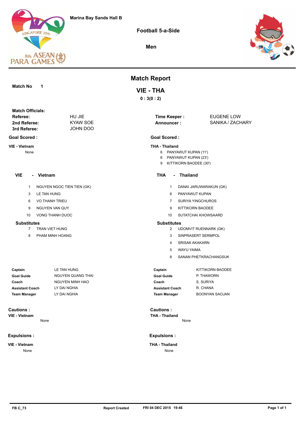

**Football 5-a-Side**

**Men**



#### **Match No 1**

#### **Time Keeper : Referee:** EUGENE LOW **3rd Referee: 2nd Referee: Match Officials:**

**Goal Scored :**

**VIE - Vietnam**

None

# **VIE - Vietnam**

1 NGUYEN NGOC TIEN TIEN (GK)

JOHN DOO KYAW SOE HU JIE

- 3 LE TAN HUNG
- 6 VO THANH TRIEU
- 9 NGUYEN VAN QUY
- 10 VONG THANH DUOC

#### **Substitutes**

- 7 TRAN VIET HUNG
- 8 PHAM MINH HOANG

#### **Goal Guide** NGUYEN QUANG THAI LY DAI NGHIA LY DAI NGHIA LE TAN HUNG NGUYEN MINH HAO **Captain Coach Assistant Coach Team Manager**

None

# **Cautions :**

**VIE - Vietnam**

#### **Expulsions :**

**VIE - Vietnam** None

# **Match Report**

# **VIE - THA**

**0 : 3(0 : 2)**

**Announcer :**

SANIKA / ZACHARY

### **Goal Scored :**

#### **THA - Thailand**

- 6 PANYAWUT KUPAN (11')
- 6 PANYAWUT KUPAN (23')
- 9 KITTIKORN BAODEE (30')

#### **THA - Thailand**

- 1 DANAI JARUWARAKUN (GK)
- 6 PANYAWUT KUPAN
- 7 SURIYA YINGCHUROS
- 9 KITTIKORN BAODEE
- 10 SUTATCHAI KHOWSAARD

#### **Substitutes**

- 2 UDOMVIT RUENNARK (GK)
- 3 SINPRASERT SERMPOL
- 4 SRISAK AKAKARN
- 5 WAYU YAIMA
- 8 SANAN PHETKRACHANGSUK

| Captain         | KITTIKORN BAODEE      |
|-----------------|-----------------------|
| Goal Guide      | P. THAWORN            |
| Coach           | S. SURIYA             |
| Assistant Coach | R. CHANA              |
| Team Manager    | <b>BOONYAN SAOJAN</b> |

**THA - Thailand Cautions :**  None

#### **Expulsions :**

**THA - Thailand** None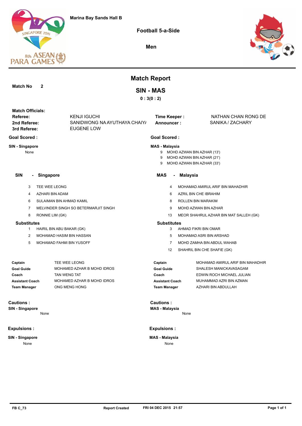

**Football 5-a-Side**

**Men**



|                                     |                                 |                                      | <b>Match Report</b>                       |  |                                                                                        |  |
|-------------------------------------|---------------------------------|--------------------------------------|-------------------------------------------|--|----------------------------------------------------------------------------------------|--|
| <b>Match No</b>                     | $\mathbf{2}$                    |                                      | <b>SIN - MAS</b>                          |  |                                                                                        |  |
|                                     |                                 |                                      | 0:3(0:2)                                  |  |                                                                                        |  |
|                                     |                                 |                                      |                                           |  |                                                                                        |  |
| <b>Match Officials:</b><br>Referee: |                                 | <b>KENJI IGUCHI</b>                  | <b>Time Keeper:</b>                       |  | NATHAN CHAN RONG DE                                                                    |  |
| 2nd Referee:                        |                                 | SANIDWONG NA AYUTHAYA CHAIY/         | Announcer:                                |  | SANIKA / ZACHARY                                                                       |  |
| 3rd Referee:                        |                                 | <b>EUGENE LOW</b>                    |                                           |  |                                                                                        |  |
| <b>Goal Scored:</b>                 |                                 |                                      | <b>Goal Scored:</b>                       |  |                                                                                        |  |
| SIN - Singapore<br>None             |                                 |                                      | <b>MAS - Malaysia</b><br>9<br>9<br>9      |  | MOHD AZWAN BIN AZHAR (13')<br>MOHD AZWAN BIN AZHAR (21')<br>MOHD AZWAN BIN AZHAR (33') |  |
| <b>SIN</b><br>$\blacksquare$        | Singapore                       |                                      | <b>MAS</b><br>$\blacksquare$              |  | <b>Malaysia</b>                                                                        |  |
| 3                                   | TEE WEE LEONG                   |                                      | 4                                         |  | MOHAMAD AMIRUL ARIF BIN MAHADHIR                                                       |  |
| 4                                   | AZHARI BIN ADAM                 |                                      | 6                                         |  | AZRIL BIN CHE IBRAHIM                                                                  |  |
| 6                                   | SULAIMAN BIN AHMAD KAMIL        |                                      | 8                                         |  | ROLLEN BIN MARAKIM                                                                     |  |
| 7                                   |                                 | MELVINDER SINGH SO BETERMARJIT SINGH | 9                                         |  | MOHD AZWAN BIN AZHAR                                                                   |  |
| 8                                   | RONNIE LIM (GK)                 |                                      | 13                                        |  | MEOR SHAHRUL AZHAR BIN MAT SALLEH (GK)                                                 |  |
| <b>Substitutes</b>                  |                                 |                                      | <b>Substitutes</b>                        |  |                                                                                        |  |
| 1                                   | HAIRIL BIN ABU BAKAR (GK)       |                                      | 3                                         |  | AHMAD FIKRI BIN OMAR                                                                   |  |
| 2                                   | MOHAMAD HASIM BIN HASSAN        |                                      | 5                                         |  | MOHAMAD ASRI BIN ARSHAD                                                                |  |
| 5                                   | <b>MOHAMAD FAHMI BIN YUSOFF</b> |                                      | $\overline{7}$                            |  | MOHD ZAMHA BIN ABDUL WAHAB                                                             |  |
|                                     |                                 |                                      | 12                                        |  | SHAHRIL BIN CHE SHAFIE (GK)                                                            |  |
| Captain                             |                                 | TEE WEE LEONG                        | Captain                                   |  | MOHAMAD AMIRUL ARIF BIN MAHADHIR                                                       |  |
| <b>Goal Guide</b>                   |                                 | MOHAMED AZHAR B MOHD IDROS           | <b>Goal Guide</b>                         |  | SHALESH MANICKAVASAGAM                                                                 |  |
| Coach                               | TAN WENG TAT                    |                                      | Coach                                     |  | EDWIN ROCH MICHAEL JULIAN                                                              |  |
| <b>Assistant Coach</b>              |                                 | MOHAMED AZHAR B MOHD IDROS           | <b>Assistant Coach</b>                    |  | MUHAMMAD AZRI BIN AZMAN                                                                |  |
| <b>Team Manager</b>                 |                                 | ONG MENG HONG                        | <b>Team Manager</b>                       |  | AZHARI BIN ABDULLAH                                                                    |  |
| <b>Cautions:</b><br>SIN - Singapore | None                            |                                      | <b>Cautions:</b><br><b>MAS - Malaysia</b> |  | None                                                                                   |  |
|                                     |                                 |                                      |                                           |  |                                                                                        |  |
| <b>Expulsions:</b>                  |                                 |                                      | <b>Expulsions:</b>                        |  |                                                                                        |  |
| SIN - Singapore                     |                                 |                                      | <b>MAS - Malaysia</b>                     |  |                                                                                        |  |

None

None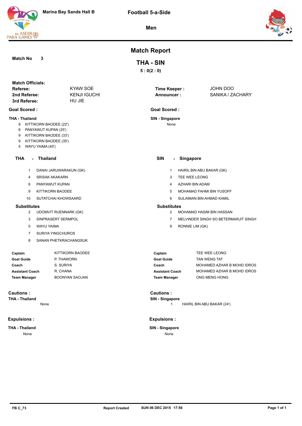





# **Match Report**

**5 : 0(2 : 0)**

**THA - SIN**

**SIN - Singapore Goal Scored :**

None

**Match No 3**

| <b>Match Officials:</b> |                     |                   |                  |
|-------------------------|---------------------|-------------------|------------------|
| Referee:                | KYAW SOE            | Time Keeper:      | JOHN DOO         |
| 2nd Referee:            | <b>KENJI IGUCHI</b> | <b>Announcer:</b> | SANIKA / ZACHARY |
| 3rd Referee:            | HU JIE              |                   |                  |

#### **Goal Scored :**

#### **THA - Thailand**

- 9 KITTIKORN BAODEE (22')
- 6 PANYAWUT KUPAN (25')
- 9 KITTIKORN BAODEE (33')
- 9 KITTIKORN BAODEE (35')
- 5 WAYU YAIMA (45')

#### **THA - Thailand**

- 1 DANAI JARUWARAKUN (GK)
- 4 SRISAK AKAKARN
- 6 PANYAWUT KUPAN
- 9 KITTIKORN BAODEE
- 10 SUTATCHAI KHOWSAARD

#### **Substitutes**

- 2 UDOMVIT RUENNARK (GK)
- 3 SINPRASERT SERMPOL
- 5 WAYU YAIMA

None

- 7 SURIYA YINGCHUROS
- 8 SANAN PHETKRACHANGSUK

| Captain         | KITTIKORN BAODEE      |
|-----------------|-----------------------|
| Goal Guide      | P. THAWORN            |
| Coach           | S. SURIYA             |
| Assistant Coach | R. CHANA              |
| Team Manager    | <b>BOONYAN SAOJAN</b> |

# **Cautions :**

**THA - Thailand**

#### **Expulsions :**

**THA - Thailand** None

| SIN                | $\sim$         | <b>Singapore</b>                     |
|--------------------|----------------|--------------------------------------|
|                    | $\mathbf{1}$   | HAIRIL BIN ABU BAKAR (GK)            |
|                    | 3              | TEE WEE LEONG                        |
|                    | $\overline{4}$ | AZHARI BIN ADAM                      |
|                    | 5              | <b>MOHAMAD FAHMI BIN YUSOFF</b>      |
|                    | 6              | SULAIMAN BIN AHMAD KAMIL             |
| <b>Substitutes</b> |                |                                      |
|                    | $\mathcal{P}$  | MOHAMAD HASIM BIN HASSAN             |
|                    | $\overline{7}$ | MELVINDER SINGH SO BETERMARJIT SINGH |
|                    | 8              | RONNIE LIM (GK)                      |

| Captain         | TEE WEE LEONG              |
|-----------------|----------------------------|
| Goal Guide      | TAN WENG TAT               |
| Coach           | MOHAMED AZHAR B MOHD IDROS |
| Assistant Coach | MOHAMED AZHAR B MOHD IDROS |
| Team Manager    | ONG MENG HONG              |

**SIN - Singapore Cautions :** 

**1** HAIRIL BIN ABU BAKAR (24')

#### **Expulsions :**

**SIN - Singapore** None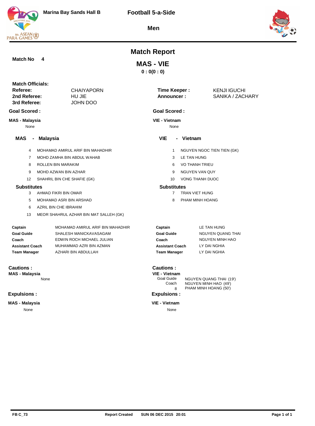





# **Match Report**

# **MAS - VIE**

**0 : 0(0 : 0)**

| <b>Match Officials:</b><br>Referee:<br>2nd Referee:<br>3rd Referee: |                             | <b>CHAIYAPORN</b><br>HU JIE<br><b>JOHN DOO</b>             | <b>Time Keeper:</b><br>Announcer:                             |             | <b>KENJI IGUCHI</b><br>SANIKA / ZACHARY                                   |
|---------------------------------------------------------------------|-----------------------------|------------------------------------------------------------|---------------------------------------------------------------|-------------|---------------------------------------------------------------------------|
| <b>Goal Scored:</b>                                                 |                             |                                                            | <b>Goal Scored:</b>                                           |             |                                                                           |
| <b>MAS - Malaysia</b><br>None                                       |                             |                                                            | <b>VIE - Vietnam</b><br>None                                  |             |                                                                           |
| MAS<br>-                                                            | <b>Malaysia</b>             |                                                            | <b>VIE</b>                                                    | - Vietnam   |                                                                           |
| $\overline{4}$                                                      |                             | MOHAMAD AMIRUL ARIF BIN MAHADHIR                           | $\mathbf{1}$                                                  |             | NGUYEN NGOC TIEN TIEN (GK)                                                |
| 7                                                                   | MOHD ZAMHA BIN ABDUL WAHAB  |                                                            | 3                                                             | LE TAN HUNG |                                                                           |
| 8                                                                   | ROLLEN BIN MARAKIM          |                                                            | 6                                                             |             | <b>VO THANH TRIEU</b>                                                     |
| 9                                                                   | MOHD AZWAN BIN AZHAR        |                                                            | 9                                                             |             | <b>NGUYEN VAN QUY</b>                                                     |
| 12                                                                  | SHAHRIL BIN CHE SHAFIE (GK) |                                                            | 10                                                            |             | <b>VONG THANH DUOC</b>                                                    |
| <b>Substitutes</b>                                                  |                             |                                                            | <b>Substitutes</b>                                            |             |                                                                           |
| 3<br>AHMAD FIKRI BIN OMAR                                           |                             |                                                            | <b>TRAN VIET HUNG</b><br>$\overline{7}$                       |             |                                                                           |
| 5                                                                   | MOHAMAD ASRI BIN ARSHAD     |                                                            | 8                                                             |             | PHAM MINH HOANG                                                           |
| 6                                                                   | AZRIL BIN CHE IBRAHIM       |                                                            |                                                               |             |                                                                           |
| 13                                                                  |                             | MEOR SHAHRUL AZHAR BIN MAT SALLEH (GK)                     |                                                               |             |                                                                           |
| Captain<br><b>Goal Guide</b>                                        |                             | MOHAMAD AMIRUL ARIF BIN MAHADHIR<br>SHALESH MANICKAVASAGAM | Captain<br><b>Goal Guide</b>                                  |             | LE TAN HUNG<br><b>NGUYEN QUANG THAI</b>                                   |
| Coach                                                               |                             | EDWIN ROCH MICHAEL JULIAN                                  | Coach                                                         |             | <b>NGUYEN MINH HAO</b>                                                    |
| <b>Assistant Coach</b>                                              |                             | MUHAMMAD AZRI BIN AZMAN                                    | <b>Assistant Coach</b>                                        |             | LY DAI NGHIA                                                              |
| <b>Team Manager</b>                                                 |                             | AZHARI BIN ABDULLAH                                        | <b>Team Manager</b>                                           |             | LY DAI NGHIA                                                              |
| <b>Cautions:</b><br><b>MAS - Malaysia</b>                           | None                        |                                                            | <b>Cautions:</b><br>VIE - Vietnam<br>Goal Guide<br>Coach<br>8 |             | NGUYEN QUANG THAI (19')<br>NGUYEN MINH HAO (49')<br>PHAM MINH HOANG (50') |
| <b>Expulsions:</b>                                                  |                             |                                                            | <b>Expulsions:</b>                                            |             |                                                                           |
| <b>MAS - Malaysia</b>                                               |                             |                                                            | <b>VIE - Vietnam</b>                                          |             |                                                                           |
| None                                                                |                             |                                                            | None                                                          |             |                                                                           |
|                                                                     |                             |                                                            |                                                               |             |                                                                           |

**Match No 4**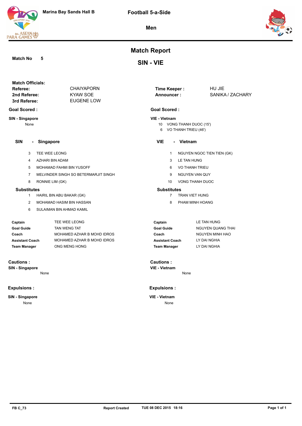#### **Match No 5**

**8th ASEAN<br>PARA GAMES** 

**Match Report**

**SIN - VIE**

| <b>Match Officials:</b> |                   |              |                  |
|-------------------------|-------------------|--------------|------------------|
| Referee:                | <b>CHAIYAPORN</b> | Time Keeper: | HU JIE           |
| 2nd Referee:            | KYAW SOE          | Announcer:   | SANIKA / ZACHARY |
| 3rd Referee:            | EUGENE LOW        |              |                  |
|                         |                   |              |                  |

#### **Goal Scored :**

**SIN - Singapore**

None

#### **SIN - Singapore**

- 3 TEE WEE LEONG
- 4 AZHARI BIN ADAM
- 5 MOHAMAD FAHMI BIN YUSOFF
- 7 MELVINDER SINGH SO BETERMARJIT SINGH
- 8 RONNIE LIM (GK)

#### **Substitutes**

- 1 HAIRIL BIN ABU BAKAR (GK)
- 2 MOHAMAD HASIM BIN HASSAN
- 6 SULAIMAN BIN AHMAD KAMIL

| Captain                | TEE WEE LEONG              | Cap  |
|------------------------|----------------------------|------|
| <b>Goal Guide</b>      | <b>TAN WENG TAT</b>        | Goa  |
| Coach                  | MOHAMED AZHAR B MOHD IDROS | Coa  |
| <b>Assistant Coach</b> | MOHAMED AZHAR B MOHD IDROS | Ass  |
| <b>Team Manager</b>    | ONG MENG HONG              | Teaı |

#### **Cautions :**

**SIN - Singapore**

None

#### **Expulsions :**

#### **SIN - Singapore**

None

# **Announcer :**

## **Goal Scored :**

## **VIE - Vietnam**

- 10 VONG THANH DUOC (15') 6 VO THANH TRIEU (46')
- 

#### **VIE - Vietnam**

- 1 NGUYEN NGOC TIEN TIEN (GK)
- 3 LE TAN HUNG
- 6 VO THANH TRIEU
- 9 NGUYEN VAN QUY
- 10 VONG THANH DUOC

#### **Substitutes**

- 7 TRAN VIET HUNG
- 8 PHAM MINH HOANG

| Captain                | LE TAN HUNG       |
|------------------------|-------------------|
| <b>Goal Guide</b>      | NGUYEN QUANG THAI |
| Coach                  | NGUYEN MINH HAO   |
| <b>Assistant Coach</b> | LY DAI NGHIA      |
| <b>Team Manager</b>    | LY DAI NGHIA      |

**VIE - Vietnam Cautions :** 

None

#### **Expulsions :**

#### **VIE - Vietnam** None